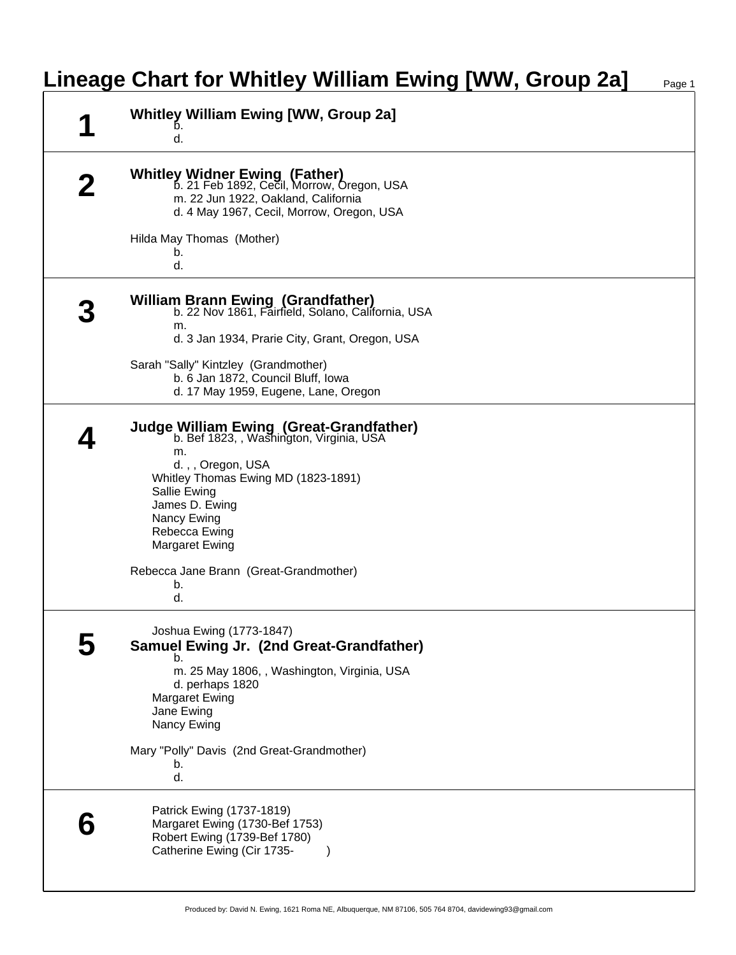## **Lineage Chart for Whitley William Ewing [WW, Group 2a]** Page 1

| <b>Whitley William Ewing [WW, Group 2a]</b><br>d.                                                                                                                                                                                               |
|-------------------------------------------------------------------------------------------------------------------------------------------------------------------------------------------------------------------------------------------------|
| <b>Whitley Widner Ewing (Father)</b><br><b>b.</b> 21 Feb 1892, Cecil, Morrow, Oregon, USA<br>m. 22 Jun 1922, Oakland, California<br>d. 4 May 1967, Cecil, Morrow, Oregon, USA                                                                   |
| Hilda May Thomas (Mother)<br>b.<br>d.                                                                                                                                                                                                           |
| <b>William Brann Ewing (Grandfather)</b><br>b. 22 Nov 1861, Fairfield, Solano, California, USA<br>m.                                                                                                                                            |
| d. 3 Jan 1934, Prarie City, Grant, Oregon, USA<br>Sarah "Sally" Kintzley (Grandmother)<br>b. 6 Jan 1872, Council Bluff, Iowa<br>d. 17 May 1959, Eugene, Lane, Oregon                                                                            |
| Judge William Ewing (Great-Grandfather)<br>b. Bef 1823, , Washington, Virginia, USA<br>m.<br>d.,, Oregon, USA<br>Whitley Thomas Ewing MD (1823-1891)<br>Sallie Ewing<br>James D. Ewing<br>Nancy Ewing<br>Rebecca Ewing<br><b>Margaret Ewing</b> |
| Rebecca Jane Brann (Great-Grandmother)<br>b.<br>d.                                                                                                                                                                                              |
| Joshua Ewing (1773-1847)<br>Samuel Ewing Jr. (2nd Great-Grandfather)<br>b.<br>m. 25 May 1806, , Washington, Virginia, USA<br>d. perhaps 1820<br><b>Margaret Ewing</b><br>Jane Ewing<br>Nancy Ewing                                              |
| Mary "Polly" Davis (2nd Great-Grandmother)<br>b.<br>d.                                                                                                                                                                                          |
| Patrick Ewing (1737-1819)<br>Margaret Ewing (1730-Bef 1753)<br>Robert Ewing (1739-Bef 1780)<br>Catherine Ewing (Cir 1735-                                                                                                                       |